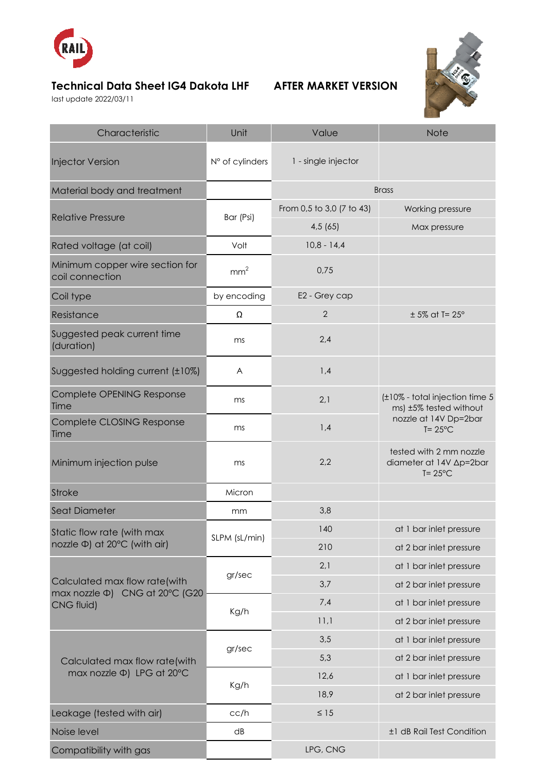

## **Technical Data Sheet IG4 Dakota LHF AFTER MARKET VERSION**

last update 2022/03/11



| Characteristic                                                                | Unit            | Value                     | <b>Note</b>                                                                                             |
|-------------------------------------------------------------------------------|-----------------|---------------------------|---------------------------------------------------------------------------------------------------------|
| <b>Injector Version</b>                                                       | N° of cylinders | 1 - single injector       |                                                                                                         |
| Material body and treatment                                                   |                 |                           | <b>Brass</b>                                                                                            |
| <b>Relative Pressure</b>                                                      | Bar (Psi)       | From 0,5 to 3,0 (7 to 43) | Working pressure                                                                                        |
|                                                                               |                 | 4,5(65)                   | Max pressure                                                                                            |
| Rated voltage (at coil)                                                       | Volt            | $10,8 - 14,4$             |                                                                                                         |
| Minimum copper wire section for<br>coil connection                            | mm <sup>2</sup> | 0,75                      |                                                                                                         |
| Coil type                                                                     | by encoding     | E2 - Grey cap             |                                                                                                         |
| Resistance                                                                    | Ω               | $\overline{2}$            | $± 5\%$ at T= 25°                                                                                       |
| Suggested peak current time<br>(duration)                                     | ms              | 2,4                       |                                                                                                         |
| Suggested holding current (±10%)                                              | A               | 1,4                       |                                                                                                         |
| Complete OPENING Response<br>Time                                             | ms              | 2,1                       | (±10% - total injection time 5<br>ms) ±5% tested without<br>nozzle at 14V Dp=2bar<br>$T = 25^{\circ}$ C |
| Complete CLOSING Response<br>Time                                             | ms              | 1,4                       |                                                                                                         |
| Minimum injection pulse                                                       | ms              | 2,2                       | tested with 2 mm nozzle<br>diameter at 14V Ap=2bar<br>$T = 25^{\circ}C$                                 |
| <b>Stroke</b>                                                                 | Micron          |                           |                                                                                                         |
| Seat Diameter                                                                 | mm              | 3,8                       |                                                                                                         |
| Static flow rate (with max                                                    | SLPM (sL/min)   | 140                       | at 1 bar inlet pressure                                                                                 |
| nozzle Φ) at 20°C (with air)                                                  |                 | 210                       | at 2 bar inlet pressure                                                                                 |
| Calculated max flow rate(with<br>max nozzle Φ) CNG at 20°C (G20<br>CNG fluid) | gr/sec          | 2,1                       | at 1 bar inlet pressure                                                                                 |
|                                                                               |                 | 3,7                       | at 2 bar inlet pressure                                                                                 |
|                                                                               | Kg/h            | 7,4                       | at 1 bar inlet pressure                                                                                 |
|                                                                               |                 | 11,1                      | at 2 bar inlet pressure                                                                                 |
| Calculated max flow rate(with<br>max nozzle $\Phi$ ) LPG at 20°C              | gr/sec          | 3,5                       | at 1 bar inlet pressure                                                                                 |
|                                                                               |                 | 5,3                       | at 2 bar inlet pressure                                                                                 |
|                                                                               | Kg/h            | 12,6                      | at 1 bar inlet pressure                                                                                 |
|                                                                               |                 | 18,9                      | at 2 bar inlet pressure                                                                                 |
| Leakage (tested with air)                                                     | cc/h            | $\leq 15$                 |                                                                                                         |
| Noise level                                                                   | dB              |                           | ±1 dB Rail Test Condition                                                                               |
| Compatibility with gas                                                        |                 | LPG, CNG                  |                                                                                                         |